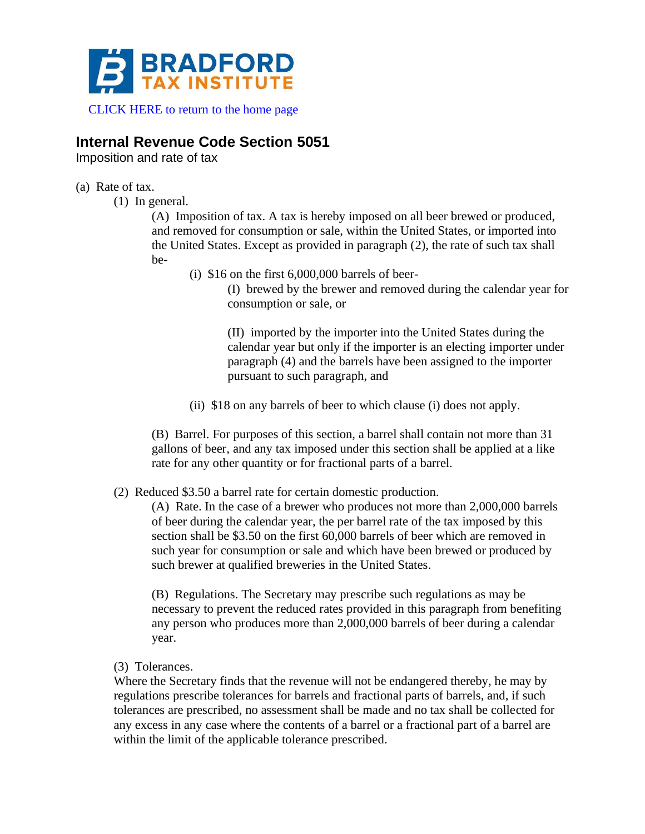

[CLICK HERE to return to the home page](https://www.bradfordtaxinstitute.com)

## **Internal Revenue Code Section 5051**

Imposition and rate of tax

## (a) Rate of tax.

(1) In general.

(A) Imposition of tax. A tax is hereby imposed on all beer brewed or produced, and removed for consumption or sale, within the United States, or imported into the United States. Except as provided in paragraph (2), the rate of such tax shall be-

(i)  $$16$  on the first  $6,000,000$  barrels of beer-

(I) brewed by the brewer and removed during the calendar year for consumption or sale, or

(II) imported by the importer into the United States during the calendar year but only if the importer is an electing importer under paragraph (4) and the barrels have been assigned to the importer pursuant to such paragraph, and

(ii) \$18 on any barrels of beer to which clause (i) does not apply.

(B) Barrel. For purposes of this section, a barrel shall contain not more than 31 gallons of beer, and any tax imposed under this section shall be applied at a like rate for any other quantity or for fractional parts of a barrel.

## (2) Reduced \$3.50 a barrel rate for certain domestic production.

(A) Rate. In the case of a brewer who produces not more than 2,000,000 barrels of beer during the calendar year, the per barrel rate of the tax imposed by this section shall be \$3.50 on the first 60,000 barrels of beer which are removed in such year for consumption or sale and which have been brewed or produced by such brewer at qualified breweries in the United States.

(B) Regulations. The Secretary may prescribe such regulations as may be necessary to prevent the reduced rates provided in this paragraph from benefiting any person who produces more than 2,000,000 barrels of beer during a calendar year.

(3) Tolerances.

Where the Secretary finds that the revenue will not be endangered thereby, he may by regulations prescribe tolerances for barrels and fractional parts of barrels, and, if such tolerances are prescribed, no assessment shall be made and no tax shall be collected for any excess in any case where the contents of a barrel or a fractional part of a barrel are within the limit of the applicable tolerance prescribed.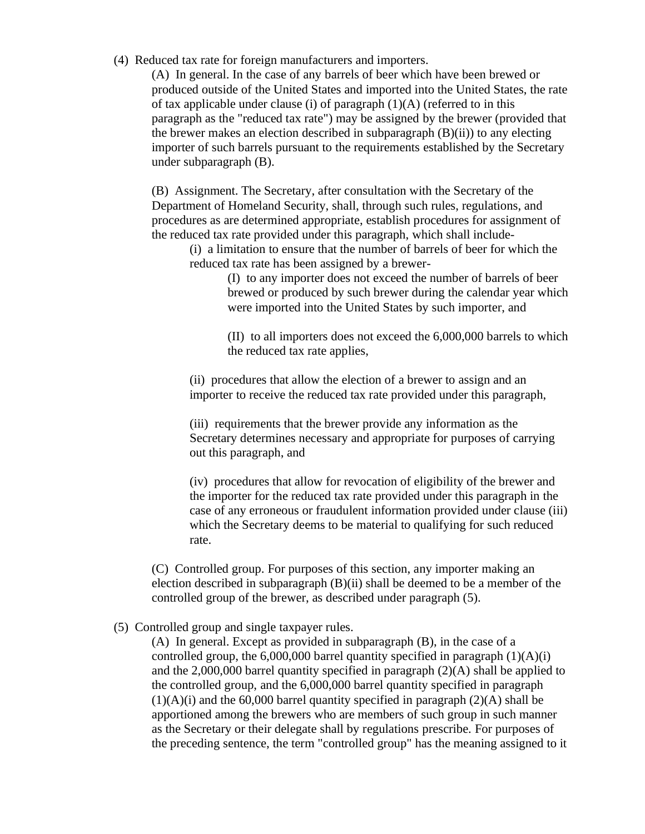(4) Reduced tax rate for foreign manufacturers and importers.

(A) In general. In the case of any barrels of beer which have been brewed or produced outside of the United States and imported into the United States, the rate of tax applicable under clause (i) of paragraph  $(1)(A)$  (referred to in this paragraph as the "reduced tax rate") may be assigned by the brewer (provided that the brewer makes an election described in subparagraph  $(B)(ii)$  to any electing importer of such barrels pursuant to the requirements established by the Secretary under subparagraph (B).

(B) Assignment. The Secretary, after consultation with the Secretary of the Department of Homeland Security, shall, through such rules, regulations, and procedures as are determined appropriate, establish procedures for assignment of the reduced tax rate provided under this paragraph, which shall include-

(i) a limitation to ensure that the number of barrels of beer for which the reduced tax rate has been assigned by a brewer-

> (I) to any importer does not exceed the number of barrels of beer brewed or produced by such brewer during the calendar year which were imported into the United States by such importer, and

> (II) to all importers does not exceed the 6,000,000 barrels to which the reduced tax rate applies,

(ii) procedures that allow the election of a brewer to assign and an importer to receive the reduced tax rate provided under this paragraph,

(iii) requirements that the brewer provide any information as the Secretary determines necessary and appropriate for purposes of carrying out this paragraph, and

(iv) procedures that allow for revocation of eligibility of the brewer and the importer for the reduced tax rate provided under this paragraph in the case of any erroneous or fraudulent information provided under clause (iii) which the Secretary deems to be material to qualifying for such reduced rate.

(C) Controlled group. For purposes of this section, any importer making an election described in subparagraph  $(B)(ii)$  shall be deemed to be a member of the controlled group of the brewer, as described under paragraph (5).

(5) Controlled group and single taxpayer rules.

(A) In general. Except as provided in subparagraph (B), in the case of a controlled group, the 6,000,000 barrel quantity specified in paragraph  $(1)(A)(i)$ and the 2,000,000 barrel quantity specified in paragraph (2)(A) shall be applied to the controlled group, and the 6,000,000 barrel quantity specified in paragraph  $(1)(A)(i)$  and the 60,000 barrel quantity specified in paragraph  $(2)(A)$  shall be apportioned among the brewers who are members of such group in such manner as the Secretary or their delegate shall by regulations prescribe. For purposes of the preceding sentence, the term "controlled group" has the meaning assigned to it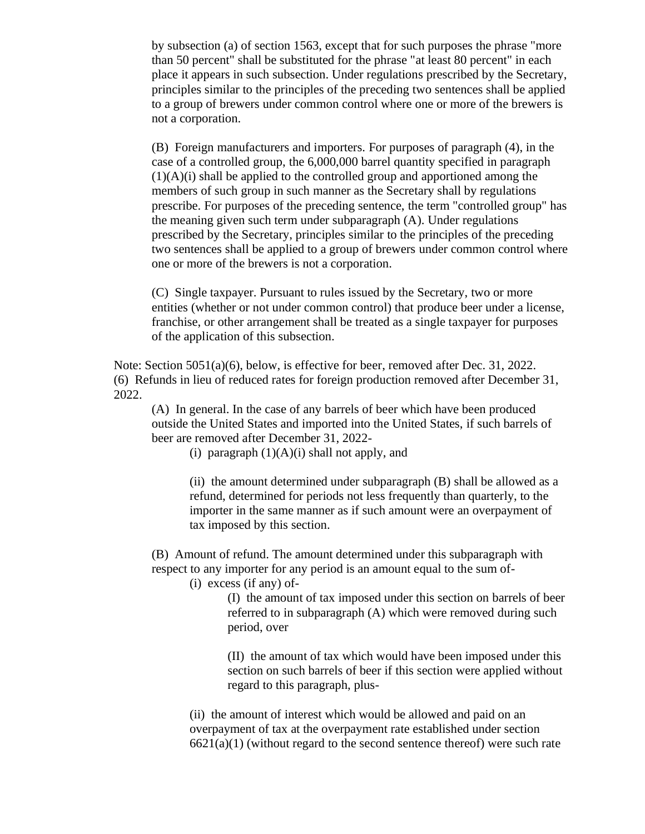by subsection (a) of section 1563, except that for such purposes the phrase "more than 50 percent" shall be substituted for the phrase "at least 80 percent" in each place it appears in such subsection. Under regulations prescribed by the Secretary, principles similar to the principles of the preceding two sentences shall be applied to a group of brewers under common control where one or more of the brewers is not a corporation.

(B) Foreign manufacturers and importers. For purposes of paragraph (4), in the case of a controlled group, the 6,000,000 barrel quantity specified in paragraph  $(1)(A)(i)$  shall be applied to the controlled group and apportioned among the members of such group in such manner as the Secretary shall by regulations prescribe. For purposes of the preceding sentence, the term "controlled group" has the meaning given such term under subparagraph (A). Under regulations prescribed by the Secretary, principles similar to the principles of the preceding two sentences shall be applied to a group of brewers under common control where one or more of the brewers is not a corporation.

(C) Single taxpayer. Pursuant to rules issued by the Secretary, two or more entities (whether or not under common control) that produce beer under a license, franchise, or other arrangement shall be treated as a single taxpayer for purposes of the application of this subsection.

Note: Section 5051(a)(6), below, is effective for beer, removed after Dec. 31, 2022. (6) Refunds in lieu of reduced rates for foreign production removed after December 31, 2022.

(A) In general. In the case of any barrels of beer which have been produced outside the United States and imported into the United States, if such barrels of beer are removed after December 31, 2022-

(i) paragraph  $(1)(A)(i)$  shall not apply, and

(ii) the amount determined under subparagraph (B) shall be allowed as a refund, determined for periods not less frequently than quarterly, to the importer in the same manner as if such amount were an overpayment of tax imposed by this section.

(B) Amount of refund. The amount determined under this subparagraph with respect to any importer for any period is an amount equal to the sum of-

(i) excess (if any) of-

(I) the amount of tax imposed under this section on barrels of beer referred to in subparagraph (A) which were removed during such period, over

(II) the amount of tax which would have been imposed under this section on such barrels of beer if this section were applied without regard to this paragraph, plus-

(ii) the amount of interest which would be allowed and paid on an overpayment of tax at the overpayment rate established under section  $6621(a)(1)$  (without regard to the second sentence thereof) were such rate